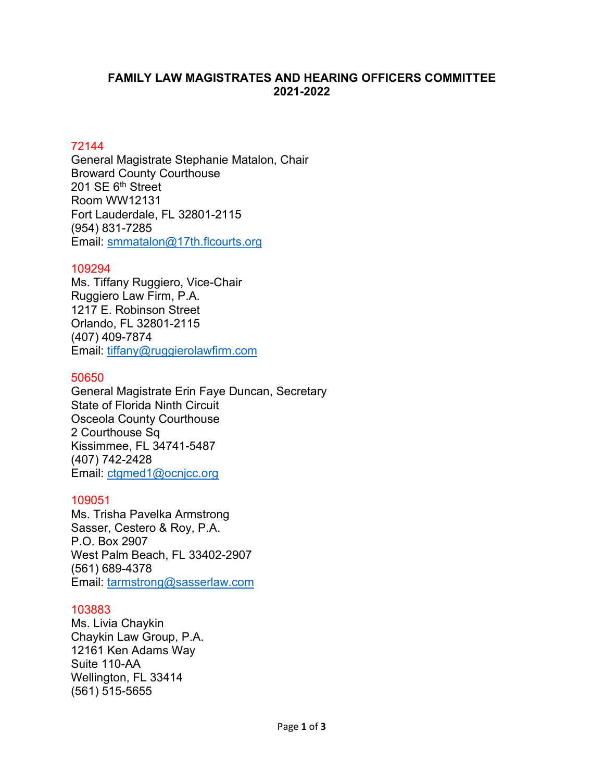## **FAMILY LAW MAGISTRATES AND HEARING OFFICERS COMMITTEE 2021-2022**

# 72144

General Magistrate Stephanie Matalon, Chair Broward County Courthouse 201 SE 6<sup>th</sup> Street Room WW12131 Fort Lauderdale, FL 32801-2115 (954) 831-7285 Email: [smmatalon@17th.flcourts.org](mailto:smmatalon@17th.flcourts.org)

## 109294

Ms. Tiffany Ruggiero, Vice-Chair Ruggiero Law Firm, P.A. 1217 E. Robinson Street Orlando, FL 32801-2115 (407) [409-7874](tel:305-577-0090) Email: [tiffany@ruggierolawfirm.com](mailto:tiffany@ruggierolawfirm.com) 

## 50650

General Magistrate Erin Faye Duncan, Secretary State of Florida Ninth Circuit Osceola County Courthouse 2 Courthouse Sq Kissimmee, FL 34741-5487 [\(407\)](tel:561-498-5833) 742-2428 Email: [ctgmed1@ocnjcc.org](mailto:ctgmed1@ocnjcc.org)

## 109051

Ms. Trisha Pavelka Armstrong Sasser, Cestero & Roy, P.A. P.O. Box 2907 West Palm Beach, FL 33402-2907 (561) 689-4378 Email: [tarmstrong@sasserlaw.com](mailto:tarmstrong@sasserlaw.com)

# 103883

Ms. Livia Chaykin Chaykin Law Group, P.A. 12161 Ken Adams Way Suite 110-AA Wellington, FL 33414 (561) 515-5655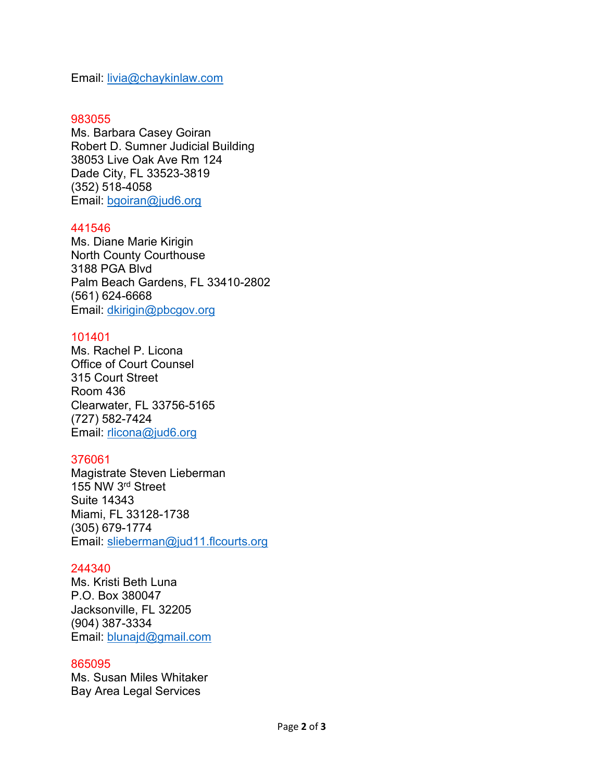Email: [livia@chaykinlaw.com](mailto:livia@chaykinlaw.com)

#### 983055

Ms. Barbara Casey Goiran Robert D. Sumner Judicial Building 38053 Live Oak Ave Rm 124 Dade City, FL 33523-3819 (352) 518-4058 Email: [bgoiran@jud6.org](mailto:bgoiran@jud6.org)

### 441546

Ms. Diane Marie Kirigin North County Courthouse 3188 PGA Blvd Palm Beach Gardens, FL 33410-2802 (561) [624-6668](tel:561-624-6668) Email: [dkirigin@pbcgov.org](mailto:dkirigin@pbcgov.org)

### 101401

Ms. Rachel P. Licona Office of Court Counsel 315 Court Street Room 436 Clearwater, FL 33756-5165 (727) 582-7424 Email: [rlicona@jud6.org](mailto:rlicona@jud6.org)

## 376061

Magistrate Steven Lieberman 155 NW 3rd Street Suite 14343 Miami, FL 33128-1738 (305) 679-1774 Email: [slieberman@jud11.flcourts.org](mailto:slieberman@jud11.flcourts.org)

#### 244340

Ms. Kristi Beth Luna P.O. Box 380047 Jacksonville, FL 32205 (904) 387-3334 Email: [blunajd@gmail.com](mailto:blunajd@gmail.com)

#### 865095

Ms. Susan Miles Whitaker Bay Area Legal Services